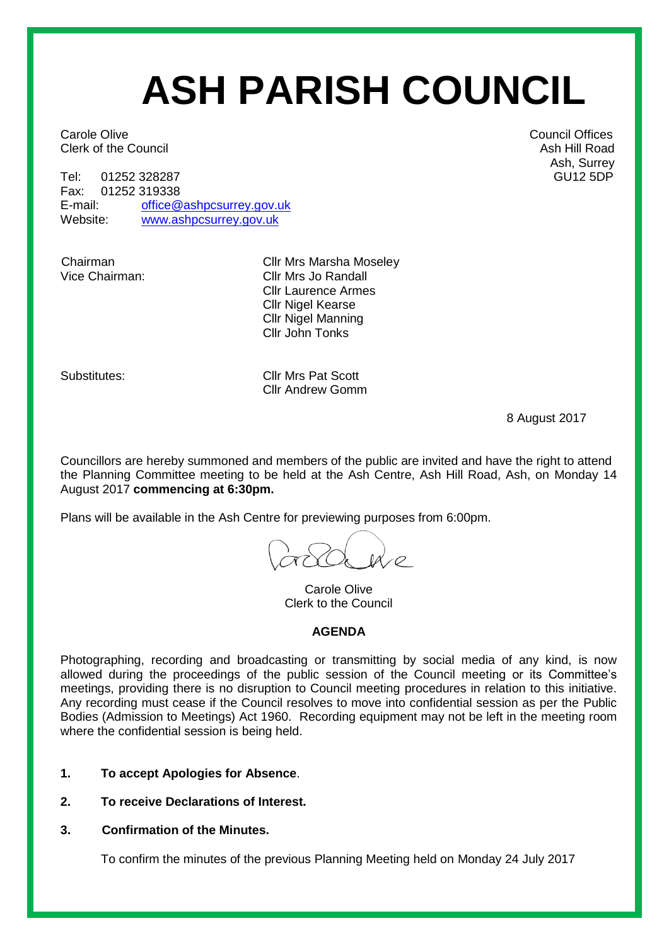# **ASH PARISH COUNCIL**

**Carole Olive Carole Offices** Carole Offices **Council Offices Clerk of the Council Ash Hill Road** Ash Hill Road Ash Hill Road Ash Hill Road Ash Hill Road Ash Hill Road Ash Hill Road Ash Hill Road Ash Hill Road Ash Hill Road Ash Hill Road Ash Hill Road Ash Hill Road Ash Hill Road Ash

Tel: 01252 328287 GU12 5DP<br>Fax: 01252 319338 GU12 5DP 01252 319338 E-mail: [office@ashpcsurrey.gov.uk](mailto:office@ashpcsurrey.gov.uk) Website: [www.ashpcsurrey.gov.uk](http://www.ashpcsurrey.gov.uk/)

Chairman Cllr Mrs Marsha Moseley<br>Vice Chairman: Cllr Mrs Jo Randall Cllr Mrs Jo Randall Cllr Laurence Armes Cllr Nigel Kearse Cllr Nigel Manning Cllr John Tonks

Substitutes: Cllr Mrs Pat Scott Cllr Andrew Gomm

8 August 2017

Councillors are hereby summoned and members of the public are invited and have the right to attend the Planning Committee meeting to be held at the Ash Centre, Ash Hill Road, Ash, on Monday 14 August 2017 **commencing at 6:30pm.** 

Plans will be available in the Ash Centre for previewing purposes from 6:00pm.

Carole Olive Clerk to the Council

#### **AGENDA**

Photographing, recording and broadcasting or transmitting by social media of any kind, is now allowed during the proceedings of the public session of the Council meeting or its Committee's meetings, providing there is no disruption to Council meeting procedures in relation to this initiative. Any recording must cease if the Council resolves to move into confidential session as per the Public Bodies (Admission to Meetings) Act 1960. Recording equipment may not be left in the meeting room where the confidential session is being held.

- **1. To accept Apologies for Absence**.
- **2. To receive Declarations of Interest.**
- **3. Confirmation of the Minutes.**

To confirm the minutes of the previous Planning Meeting held on Monday 24 July 2017

Ash, Surrey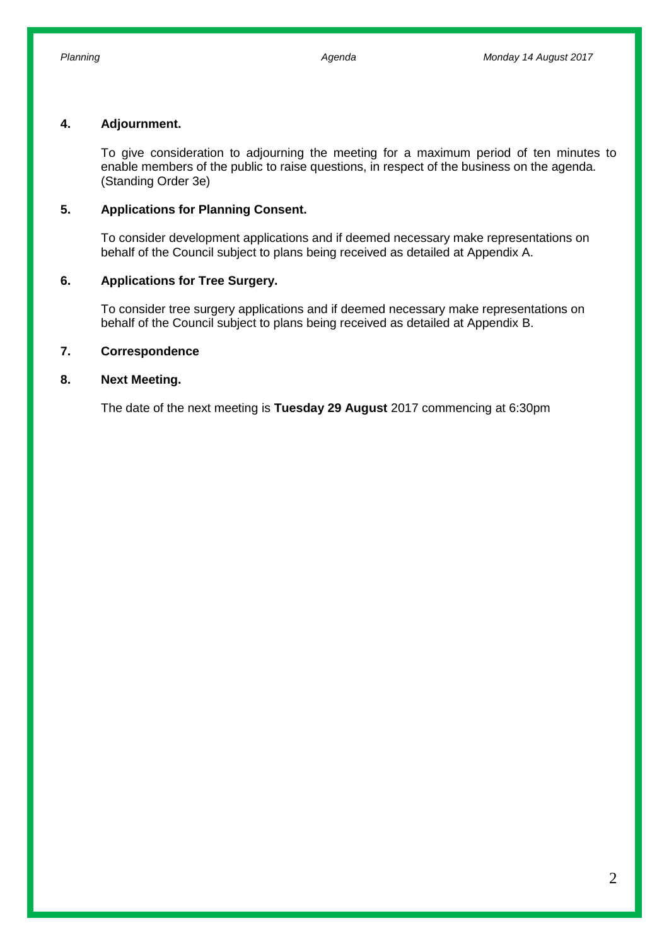#### **4. Adjournment.**

To give consideration to adjourning the meeting for a maximum period of ten minutes to enable members of the public to raise questions, in respect of the business on the agenda. (Standing Order 3e)

#### **5. Applications for Planning Consent.**

To consider development applications and if deemed necessary make representations on behalf of the Council subject to plans being received as detailed at Appendix A.

#### **6. Applications for Tree Surgery.**

To consider tree surgery applications and if deemed necessary make representations on behalf of the Council subject to plans being received as detailed at Appendix B.

#### **7. Correspondence**

#### **8. Next Meeting.**

The date of the next meeting is **Tuesday 29 August** 2017 commencing at 6:30pm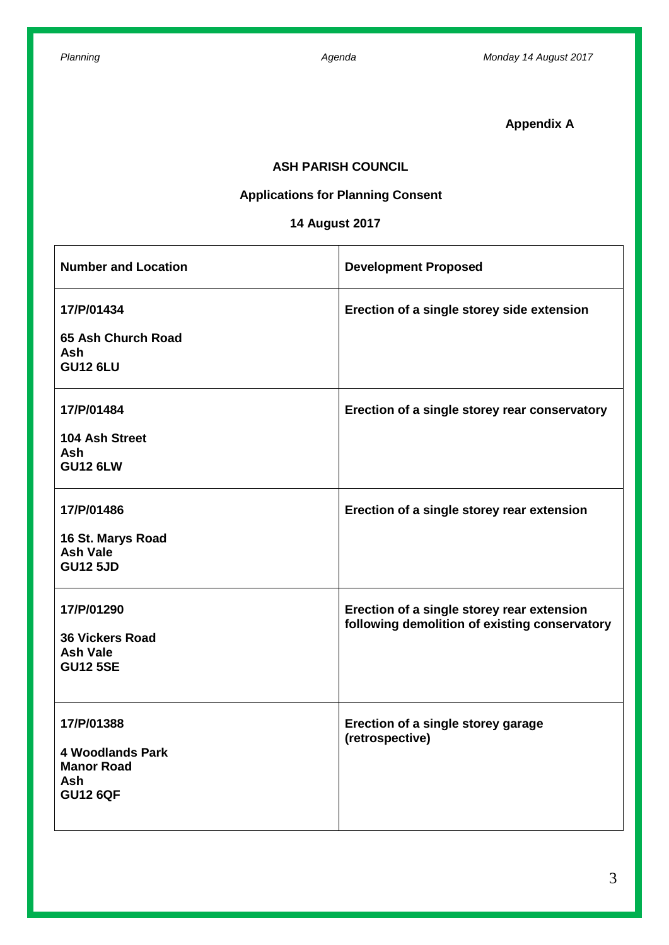**Appendix A**

### **ASH PARISH COUNCIL**

# **Applications for Planning Consent**

# **14 August 2017**

| <b>Number and Location</b>                                                           | <b>Development Proposed</b>                                                                 |
|--------------------------------------------------------------------------------------|---------------------------------------------------------------------------------------------|
| 17/P/01434<br>65 Ash Church Road<br><b>Ash</b><br><b>GU12 6LU</b>                    | Erection of a single storey side extension                                                  |
| 17/P/01484<br>104 Ash Street<br><b>Ash</b><br><b>GU12 6LW</b>                        | Erection of a single storey rear conservatory                                               |
| 17/P/01486<br>16 St. Marys Road<br><b>Ash Vale</b><br><b>GU12 5JD</b>                | Erection of a single storey rear extension                                                  |
| 17/P/01290<br><b>36 Vickers Road</b><br><b>Ash Vale</b><br><b>GU12 5SE</b>           | Erection of a single storey rear extension<br>following demolition of existing conservatory |
| 17/P/01388<br><b>4 Woodlands Park</b><br><b>Manor Road</b><br>Ash<br><b>GU12 6QF</b> | Erection of a single storey garage<br>(retrospective)                                       |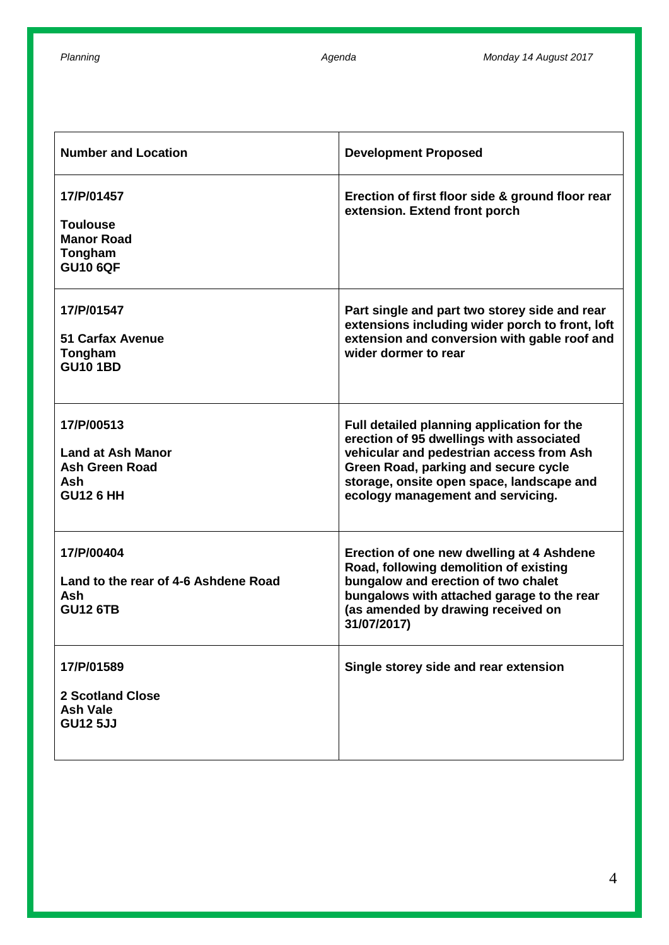| <b>Number and Location</b>                                                          | <b>Development Proposed</b>                                                                                                                                                                                                                                  |
|-------------------------------------------------------------------------------------|--------------------------------------------------------------------------------------------------------------------------------------------------------------------------------------------------------------------------------------------------------------|
| 17/P/01457<br><b>Toulouse</b><br><b>Manor Road</b><br>Tongham<br><b>GU10 6QF</b>    | Erection of first floor side & ground floor rear<br>extension. Extend front porch                                                                                                                                                                            |
| 17/P/01547<br><b>51 Carfax Avenue</b><br>Tongham<br><b>GU10 1BD</b>                 | Part single and part two storey side and rear<br>extensions including wider porch to front, loft<br>extension and conversion with gable roof and<br>wider dormer to rear                                                                                     |
| 17/P/00513<br><b>Land at Ash Manor</b><br>Ash Green Road<br>Ash<br><b>GU12 6 HH</b> | Full detailed planning application for the<br>erection of 95 dwellings with associated<br>vehicular and pedestrian access from Ash<br>Green Road, parking and secure cycle<br>storage, onsite open space, landscape and<br>ecology management and servicing. |
| 17/P/00404<br>Land to the rear of 4-6 Ashdene Road<br>Ash<br><b>GU12 6TB</b>        | Erection of one new dwelling at 4 Ashdene<br>Road, following demolition of existing<br>bungalow and erection of two chalet<br>bungalows with attached garage to the rear<br>(as amended by drawing received on<br>31/07/2017)                                |
| 17/P/01589<br><b>2 Scotland Close</b><br><b>Ash Vale</b><br><b>GU12 5JJ</b>         | Single storey side and rear extension                                                                                                                                                                                                                        |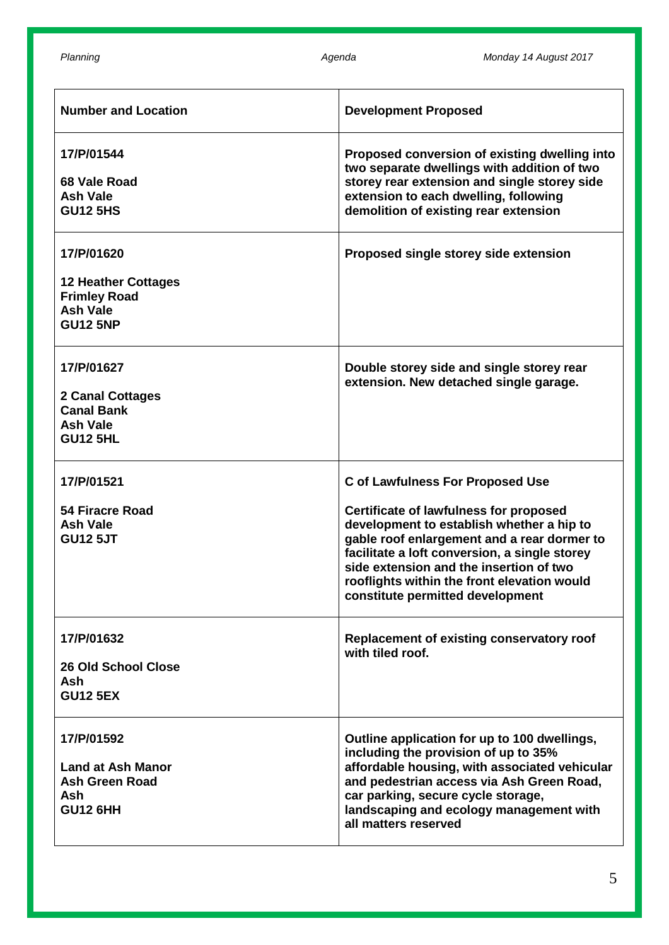| <b>Number and Location</b>                                                                            | <b>Development Proposed</b>                                                                                                                                                                                                                                                                                                                                         |
|-------------------------------------------------------------------------------------------------------|---------------------------------------------------------------------------------------------------------------------------------------------------------------------------------------------------------------------------------------------------------------------------------------------------------------------------------------------------------------------|
| 17/P/01544<br>68 Vale Road<br><b>Ash Vale</b><br><b>GU12 5HS</b>                                      | Proposed conversion of existing dwelling into<br>two separate dwellings with addition of two<br>storey rear extension and single storey side<br>extension to each dwelling, following<br>demolition of existing rear extension                                                                                                                                      |
| 17/P/01620<br><b>12 Heather Cottages</b><br><b>Frimley Road</b><br><b>Ash Vale</b><br><b>GU12 5NP</b> | Proposed single storey side extension                                                                                                                                                                                                                                                                                                                               |
| 17/P/01627<br>2 Canal Cottages<br><b>Canal Bank</b><br><b>Ash Vale</b><br><b>GU12 5HL</b>             | Double storey side and single storey rear<br>extension. New detached single garage.                                                                                                                                                                                                                                                                                 |
| 17/P/01521<br><b>54 Firacre Road</b><br><b>Ash Vale</b><br><b>GU12 5JT</b>                            | <b>C of Lawfulness For Proposed Use</b><br><b>Certificate of lawfulness for proposed</b><br>development to establish whether a hip to<br>gable roof enlargement and a rear dormer to<br>facilitate a loft conversion, a single storey<br>side extension and the insertion of two<br>rooflights within the front elevation would<br>constitute permitted development |
| 17/P/01632<br><b>26 Old School Close</b><br><b>Ash</b><br><b>GU12 5EX</b>                             | Replacement of existing conservatory roof<br>with tiled roof.                                                                                                                                                                                                                                                                                                       |
| 17/P/01592<br><b>Land at Ash Manor</b><br>Ash Green Road<br>Ash<br><b>GU12 6HH</b>                    | Outline application for up to 100 dwellings,<br>including the provision of up to 35%<br>affordable housing, with associated vehicular<br>and pedestrian access via Ash Green Road,<br>car parking, secure cycle storage,<br>landscaping and ecology management with<br>all matters reserved                                                                         |